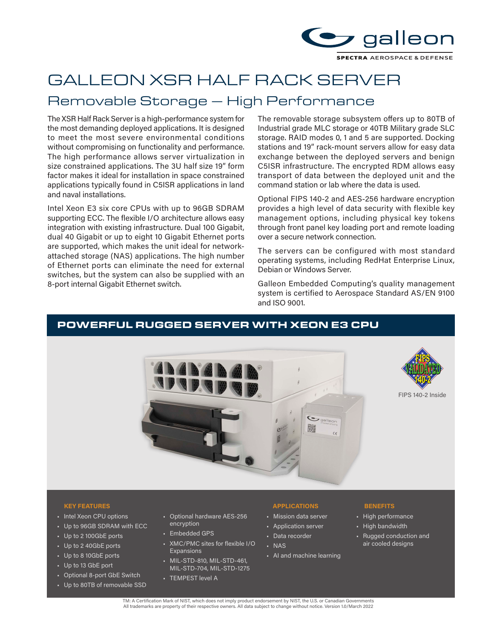

# GALLEON XSR HALF RACK SERVER

# Removable Storage – High Performance

The XSR Half Rack Server is a high-performance system for the most demanding deployed applications. It is designed to meet the most severe environmental conditions without compromising on functionality and performance. The high performance allows server virtualization in size constrained applications. The 3U half size 19" form factor makes it ideal for installation in space constrained applications typically found in C5ISR applications in land and naval installations.

Intel Xeon E3 six core CPUs with up to 96GB SDRAM supporting ECC. The flexible I/O architecture allows easy integration with existing infrastructure. Dual 100 Gigabit, dual 40 Gigabit or up to eight 10 Gigabit Ethernet ports are supported, which makes the unit ideal for networkattached storage (NAS) applications. The high number of Ethernet ports can eliminate the need for external switches, but the system can also be supplied with an 8-port internal Gigabit Ethernet switch.

The removable storage subsystem offers up to 80TB of Industrial grade MLC storage or 40TB Military grade SLC storage. RAID modes 0, 1 and 5 are supported. Docking stations and 19" rack-mount servers allow for easy data exchange between the deployed servers and benign C5ISR infrastructure. The encrypted RDM allows easy transport of data between the deployed unit and the command station or lab where the data is used.

Optional FIPS 140-2 and AES-256 hardware encryption provides a high level of data security with flexible key management options, including physical key tokens through front panel key loading port and remote loading over a secure network connection.

The servers can be configured with most standard operating systems, including RedHat Enterprise Linux, Debian or Windows Server.

Galleon Embedded Computing's quality management system is certified to Aerospace Standard AS/EN 9100 and ISO 9001.

## POWERFUL RUGGED SERVER WITH XEON E3 CPU





FIPS 140-2 Inside

### **KEY FEATURES BENEFITS**

- Intel Xeon CPU options
- Up to 96GB SDRAM with ECC
- Up to 2 100GbE ports
- Up to 2 40GbE ports
- Up to 8 10GbE ports
- Up to 13 GbE port
- Optional 8-port GbE Switch
- Up to 80TB of removable SSD
- Optional hardware AES-256 encryption
- Embedded GPS
- XMC/PMC sites for flexible I/O **Expansions**
- MIL-STD-810, MIL-STD-461, MIL-STD-704, MIL-STD-1275
- TEMPEST level A

- Mission data server
- Application server
- Data recorder
- NAS
- AI and machine learning

- High performance
- High bandwidth
- Rugged conduction and air cooled designs
- TM: A Certification Mark of NIST, which does not imply product endorsement by NIST, the U.S. or Canadian Governments All trademarks are property of their respective owners. All data subject to change without notice. Version 1.0/March 2022